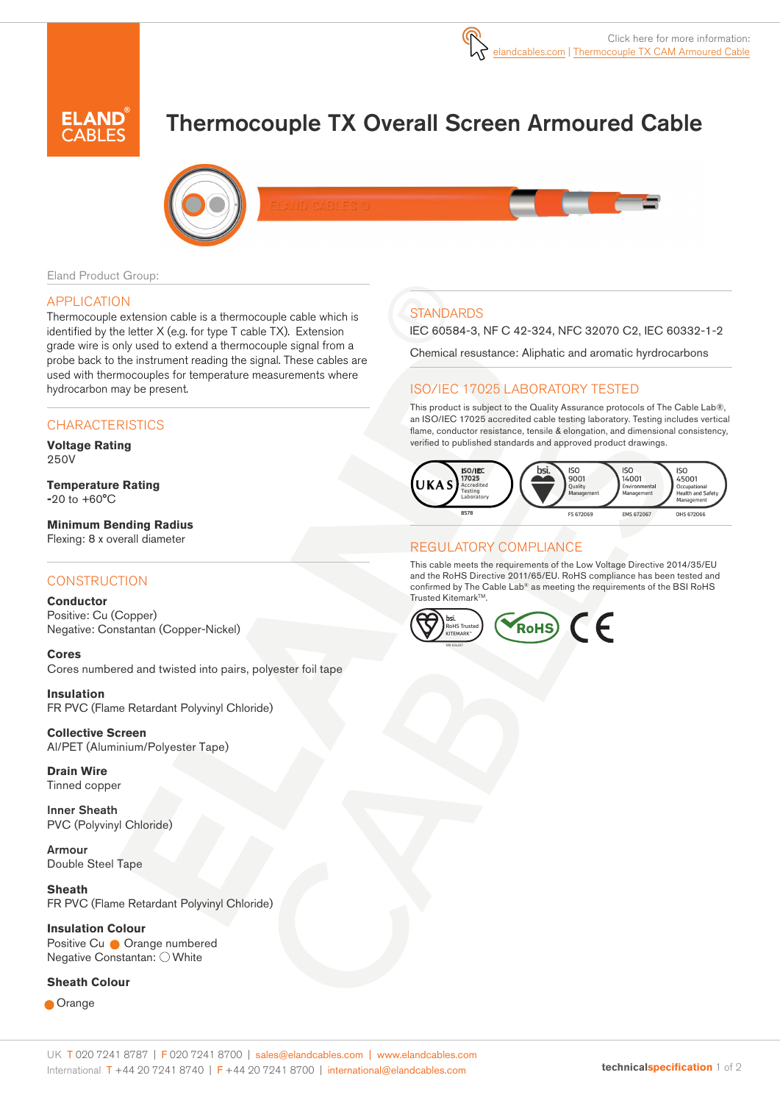# Thermocouple TX Overall Screen Armoured Cable



Eland Product Group:

#### APPLICATION

Thermocouple extension cable is a thermocouple cable which is identified by the letter X (e.g. for type T cable TX). Extension grade wire is only used to extend a thermocouple signal from a probe back to the instrument reading the signal. These cables are used with thermocouples for temperature measurements where hydrocarbon may be present.

### **CHARACTERISTICS**

**Voltage Rating**  250V

**Temperature Rating -**20 to +60°C

**Minimum Bending Radius** Flexing: 8 x overall diameter

#### **CONSTRUCTION**

**Conductor** Positive: Cu (Copper) Negative: Constantan (Copper-Nickel)

**Cores** Cores numbered and twisted into pairs, polyester foil tape

**Insulation** FR PVC (Flame Retardant Polyvinyl Chloride)

**Collective Screen** Al/PET (Aluminium/Polyester Tape)

**Drain Wire**  Tinned copper

Inner Sheath PVC (Polyvinyl Chloride)

Armour Double Steel Tape

**Sheath**  FR PVC (Flame Retardant Polyvinyl Chloride)

**Insulation Colour**  Positive Cu **Orange numbered** Negative Constantan: O White

#### **Sheath Colour**

**Orange** 

# **STANDARDS**

IEC 60584-3, NF C 42-324, NFC 32070 C2, IEC 60332-1-2

Chemical resustance: Aliphatic and aromatic hyrdrocarbons

### ISO/IEC 17025 LABORATORY TESTED

This product is subject to the Quality Assurance protocols of The Cable Lab®, an ISO/IEC 17025 accredited cable testing laboratory. Testing includes vertical flame, conductor resistance, tensile & elongation, and dimensional consistency, verified to published standards and approved product drawings.



#### REGULATORY COMPLIANCE

This cable meets the requirements of the Low Voltage Directive 2014/35/EU and the RoHS Directive 2011/65/EU. RoHS compliance has been tested and confirmed by The Cable Lab® as meeting the requirements of the BSI RoHS Trusted KitemarkTM.